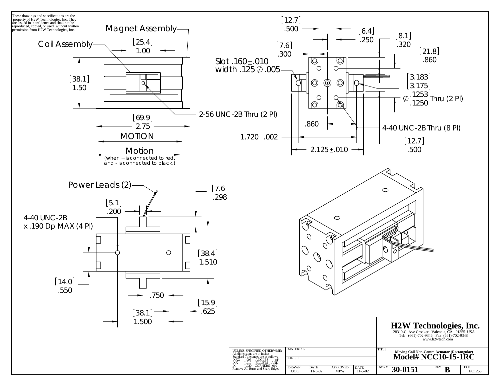